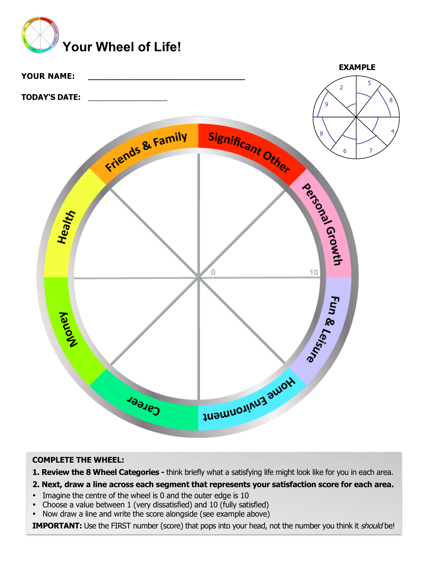



# **COMPLETE THE WHEEL:**

**1. Review the 8 Wheel Categories -** think briefly what a satisfying life might look like for you in each area.

## **2. Next, draw a line across each segment that represents your satisfaction score for each area.**

- Imagine the centre of the wheel is 0 and the outer edge is 10
- Choose a value between 1 (very dissatisfied) and 10 (fully satisfied)<br>• Now draw a line and write the score alongside (see example above)
- Now draw a line and write the score alongside (see example above)

**IMPORTANT:** Use the FIRST number (score) that pops into your head, not the number you think it *should* be!